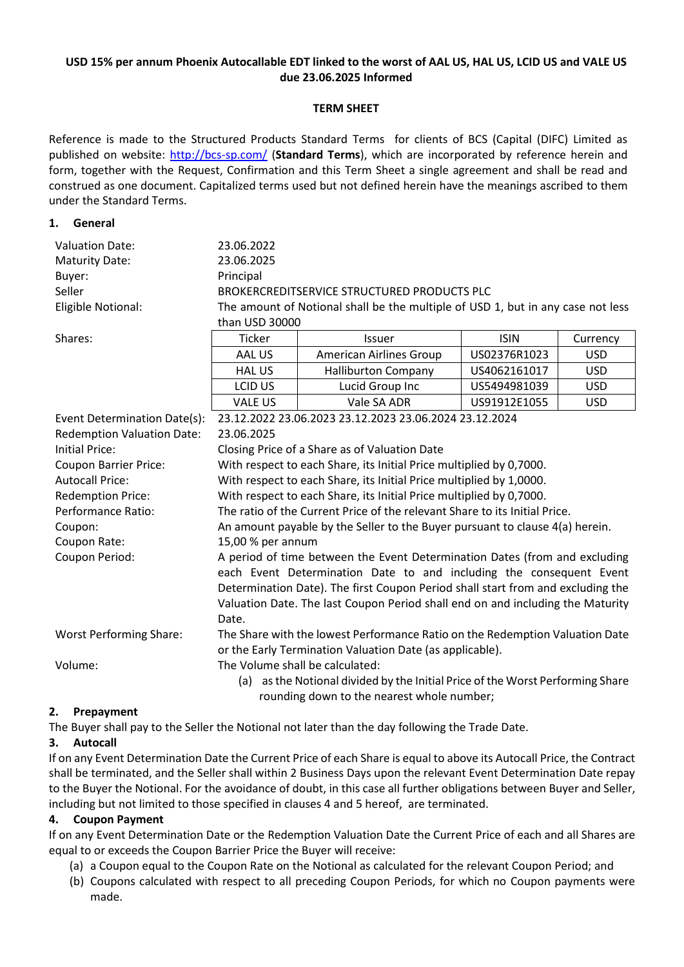# **USD 15% per annum Phoenix Autocallable EDT linked to the worst of AAL US, HAL US, LCID US and VALE US due 23.06.2025 Informed**

# **TERM SHEET**

Reference is made to the Structured Products Standard Terms for clients of BCS (Capital (DIFC) Limited as published on website:<http://bcs-sp.com/> (**Standard Terms**), which are incorporated by reference herein and form, together with the Request, Confirmation and this Term Sheet a single agreement and shall be read and construed as one document. Capitalized terms used but not defined herein have the meanings ascribed to them under the Standard Terms.

#### **1. General**

| <b>Valuation Date:</b>            | 23.06.2022                                                                                        |                                            |              |            |  |
|-----------------------------------|---------------------------------------------------------------------------------------------------|--------------------------------------------|--------------|------------|--|
| <b>Maturity Date:</b>             | 23.06.2025                                                                                        |                                            |              |            |  |
| Buyer:                            | Principal                                                                                         |                                            |              |            |  |
| Seller                            | BROKERCREDITSERVICE STRUCTURED PRODUCTS PLC                                                       |                                            |              |            |  |
| Eligible Notional:                | The amount of Notional shall be the multiple of USD 1, but in any case not less<br>than USD 30000 |                                            |              |            |  |
|                                   |                                                                                                   |                                            |              |            |  |
| Shares:                           | Ticker                                                                                            | <b>Issuer</b>                              | <b>ISIN</b>  | Currency   |  |
|                                   | AAL US                                                                                            | <b>American Airlines Group</b>             | US02376R1023 | <b>USD</b> |  |
|                                   | <b>HALUS</b>                                                                                      | <b>Halliburton Company</b>                 | US4062161017 | <b>USD</b> |  |
|                                   | <b>LCID US</b>                                                                                    | Lucid Group Inc                            | US5494981039 | <b>USD</b> |  |
|                                   | <b>VALE US</b>                                                                                    | Vale SA ADR                                | US91912E1055 | <b>USD</b> |  |
| Event Determination Date(s):      | 23.12.2022 23.06.2023 23.12.2023 23.06.2024 23.12.2024                                            |                                            |              |            |  |
| <b>Redemption Valuation Date:</b> | 23.06.2025                                                                                        |                                            |              |            |  |
| <b>Initial Price:</b>             | Closing Price of a Share as of Valuation Date                                                     |                                            |              |            |  |
| <b>Coupon Barrier Price:</b>      | With respect to each Share, its Initial Price multiplied by 0,7000.                               |                                            |              |            |  |
| <b>Autocall Price:</b>            | With respect to each Share, its Initial Price multiplied by 1,0000.                               |                                            |              |            |  |
| <b>Redemption Price:</b>          | With respect to each Share, its Initial Price multiplied by 0,7000.                               |                                            |              |            |  |
| Performance Ratio:                | The ratio of the Current Price of the relevant Share to its Initial Price.                        |                                            |              |            |  |
| Coupon:                           | An amount payable by the Seller to the Buyer pursuant to clause 4(a) herein.                      |                                            |              |            |  |
| Coupon Rate:                      | 15,00 % per annum                                                                                 |                                            |              |            |  |
| Coupon Period:                    | A period of time between the Event Determination Dates (from and excluding                        |                                            |              |            |  |
|                                   | each Event Determination Date to and including the consequent Event                               |                                            |              |            |  |
|                                   | Determination Date). The first Coupon Period shall start from and excluding the                   |                                            |              |            |  |
|                                   | Valuation Date. The last Coupon Period shall end on and including the Maturity                    |                                            |              |            |  |
|                                   | Date.                                                                                             |                                            |              |            |  |
| <b>Worst Performing Share:</b>    | The Share with the lowest Performance Ratio on the Redemption Valuation Date                      |                                            |              |            |  |
|                                   | or the Early Termination Valuation Date (as applicable).                                          |                                            |              |            |  |
| Volume:                           | The Volume shall be calculated:                                                                   |                                            |              |            |  |
|                                   | (a) as the Notional divided by the Initial Price of the Worst Performing Share                    |                                            |              |            |  |
|                                   |                                                                                                   | rounding down to the nearest whole number; |              |            |  |

#### **2. Prepayment**

The Buyer shall pay to the Seller the Notional not later than the day following the Trade Date.

#### **3. Autocall**

If on any Event Determination Date the Current Price of each Share is equal to above its Autocall Price, the Contract shall be terminated, and the Seller shall within 2 Business Days upon the relevant Event Determination Date repay to the Buyer the Notional. For the avoidance of doubt, in this case all further obligations between Buyer and Seller, including but not limited to those specified in clauses 4 and 5 hereof, are terminated.

#### **4. Coupon Payment**

If on any Event Determination Date or the Redemption Valuation Date the Current Price of each and all Shares are equal to or exceeds the Coupon Barrier Price the Buyer will receive:

- (a) a Coupon equal to the Coupon Rate on the Notional as calculated for the relevant Coupon Period; and
- (b) Coupons calculated with respect to all preceding Coupon Periods, for which no Coupon payments were made.